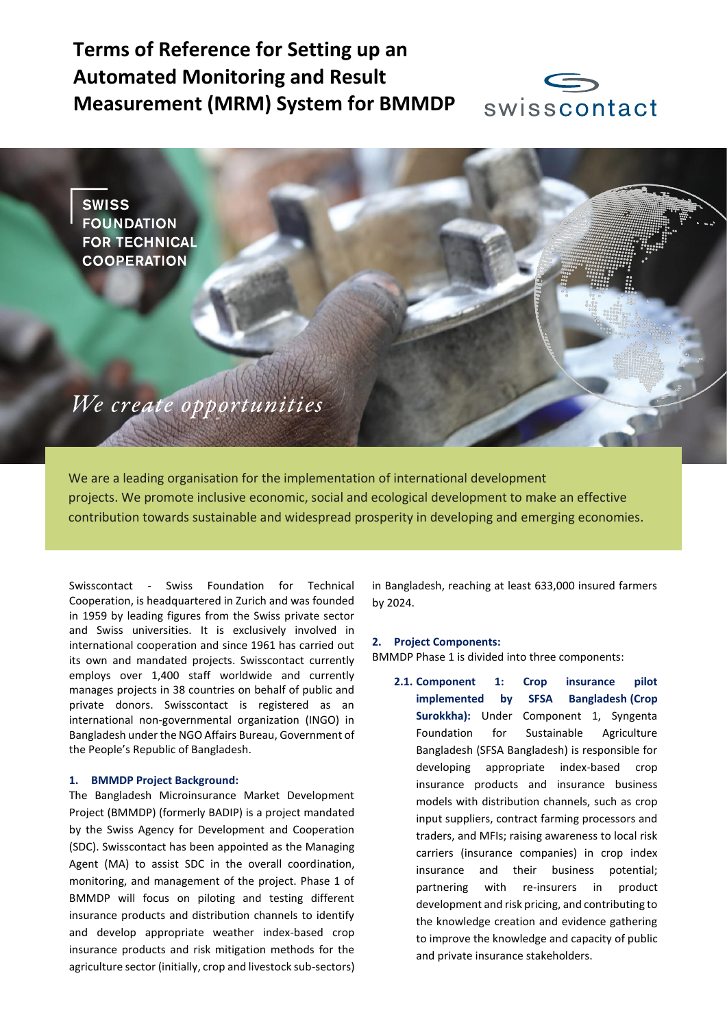# **Terms of Reference for Setting up an Automated Monitoring and Result Measurement (MRM) System for BMMDP**



**SWISS FOUNDATION FOR TECHNICAL COOPERATION** 

We create opportunities

We are a leading organisation for the implementation of international development projects. We promote inclusive economic, social and ecological development to make an effective contribution towards sustainable and widespread prosperity in developing and emerging economies.

Swisscontact - Swiss Foundation for Technical Cooperation, is headquartered in Zurich and was founded in 1959 by leading figures from the Swiss private sector and Swiss universities. It is exclusively involved in international cooperation and since 1961 has carried out its own and mandated projects. Swisscontact currently employs over 1,400 staff worldwide and currently manages projects in 38 countries on behalf of public and private donors. Swisscontact is registered as an international non-governmental organization (INGO) in Bangladesh under the NGO Affairs Bureau, Government of the People's Republic of Bangladesh.

### **1. BMMDP Project Background:**

The Bangladesh Microinsurance Market Development Project (BMMDP) (formerly BADIP) is a project mandated by the Swiss Agency for Development and Cooperation (SDC). Swisscontact has been appointed as the Managing Agent (MA) to assist SDC in the overall coordination, monitoring, and management of the project. Phase 1 of BMMDP will focus on piloting and testing different insurance products and distribution channels to identify and develop appropriate weather index-based crop insurance products and risk mitigation methods for the agriculture sector (initially, crop and livestock sub-sectors)

in Bangladesh, reaching at least 633,000 insured farmers by 2024.

#### **2. Project Components:**

BMMDP Phase 1 is divided into three components:

**2.1. Component 1: Crop insurance pilot implemented by SFSA Bangladesh (Crop**  Surokkha): Under Component 1, Syngenta Foundation for Sustainable Agriculture Bangladesh (SFSA Bangladesh) is responsible for developing appropriate index-based crop insurance products and insurance business models with distribution channels, such as crop input suppliers, contract farming processors and traders, and MFIs; raising awareness to local risk carriers (insurance companies) in crop index insurance and their business potential; partnering with re-insurers in product development and risk pricing, and contributing to the knowledge creation and evidence gathering to improve the knowledge and capacity of public and private insurance stakeholders.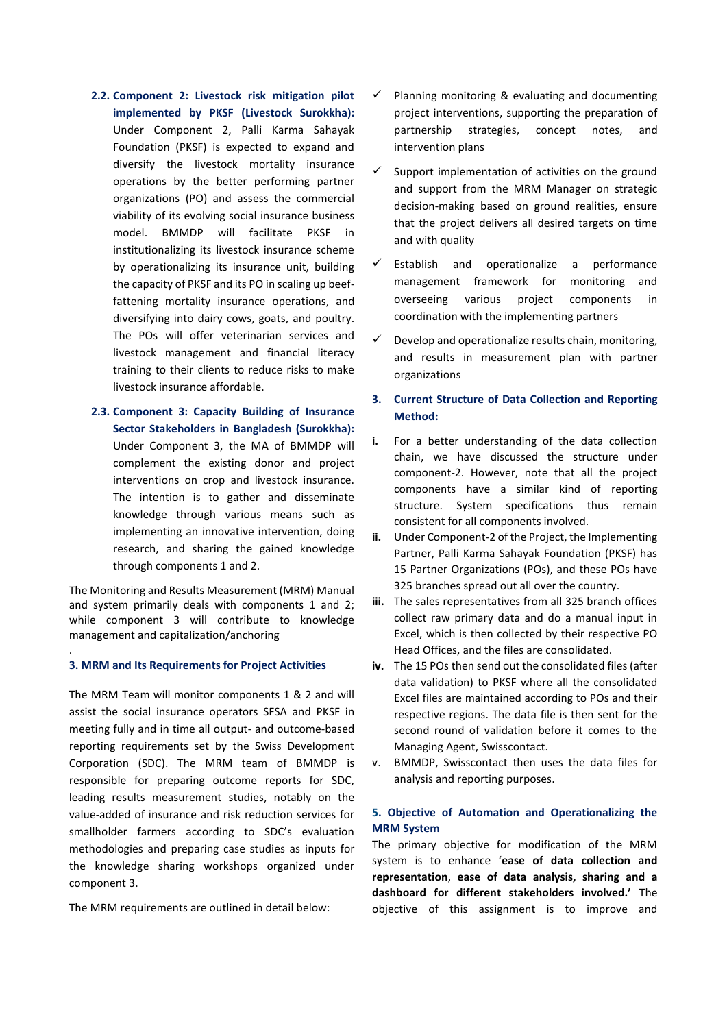- **2.2. Component 2: Livestock risk mitigation pilot implemented by PKSF (Livestock Surokkha):** Under Component 2, Palli Karma Sahayak Foundation (PKSF) is expected to expand and diversify the livestock mortality insurance operations by the better performing partner organizations (PO) and assess the commercial viability of its evolving social insurance business model. BMMDP will facilitate PKSF in institutionalizing its livestock insurance scheme by operationalizing its insurance unit, building the capacity of PKSF and its PO in scaling up beeffattening mortality insurance operations, and diversifying into dairy cows, goats, and poultry. The POs will offer veterinarian services and livestock management and financial literacy training to their clients to reduce risks to make livestock insurance affordable.
- **2.3. Component 3: Capacity Building of Insurance Sector Stakeholders in Bangladesh (Surokkha):** Under Component 3, the MA of BMMDP will complement the existing donor and project interventions on crop and livestock insurance. The intention is to gather and disseminate knowledge through various means such as implementing an innovative intervention, doing research, and sharing the gained knowledge through components 1 and 2.

The Monitoring and Results Measurement (MRM) Manual and system primarily deals with components 1 and 2; while component 3 will contribute to knowledge management and capitalization/anchoring

### **3. MRM and Its Requirements for Project Activities**

.

The MRM Team will monitor components 1 & 2 and will assist the social insurance operators SFSA and PKSF in meeting fully and in time all output- and outcome-based reporting requirements set by the Swiss Development Corporation (SDC). The MRM team of BMMDP is responsible for preparing outcome reports for SDC, leading results measurement studies, notably on the value-added of insurance and risk reduction services for smallholder farmers according to SDC's evaluation methodologies and preparing case studies as inputs for the knowledge sharing workshops organized under component 3.

The MRM requirements are outlined in detail below:

- Planning monitoring & evaluating and documenting project interventions, supporting the preparation of partnership strategies, concept notes, and intervention plans
- Support implementation of activities on the ground and support from the MRM Manager on strategic decision-making based on ground realities, ensure that the project delivers all desired targets on time and with quality
- Establish and operationalize a performance management framework for monitoring and overseeing various project components in coordination with the implementing partners
- Develop and operationalize results chain, monitoring, and results in measurement plan with partner organizations

# **3. Current Structure of Data Collection and Reporting Method:**

- **i.** For a better understanding of the data collection chain, we have discussed the structure under component-2. However, note that all the project components have a similar kind of reporting structure. System specifications thus remain consistent for all components involved.
- **ii.** Under Component-2 of the Project, the Implementing Partner, Palli Karma Sahayak Foundation (PKSF) has 15 Partner Organizations (POs), and these POs have 325 branches spread out all over the country.
- **iii.** The sales representatives from all 325 branch offices collect raw primary data and do a manual input in Excel, which is then collected by their respective PO Head Offices, and the files are consolidated.
- **iv.** The 15 POs then send out the consolidated files (after data validation) to PKSF where all the consolidated Excel files are maintained according to POs and their respective regions. The data file is then sent for the second round of validation before it comes to the Managing Agent, Swisscontact.
- v. BMMDP, Swisscontact then uses the data files for analysis and reporting purposes.

# **5. Objective of Automation and Operationalizing the MRM System**

The primary objective for modification of the MRM system is to enhance '**ease of data collection and representation**, **ease of data analysis, sharing and a dashboard for different stakeholders involved.'** The objective of this assignment is to improve and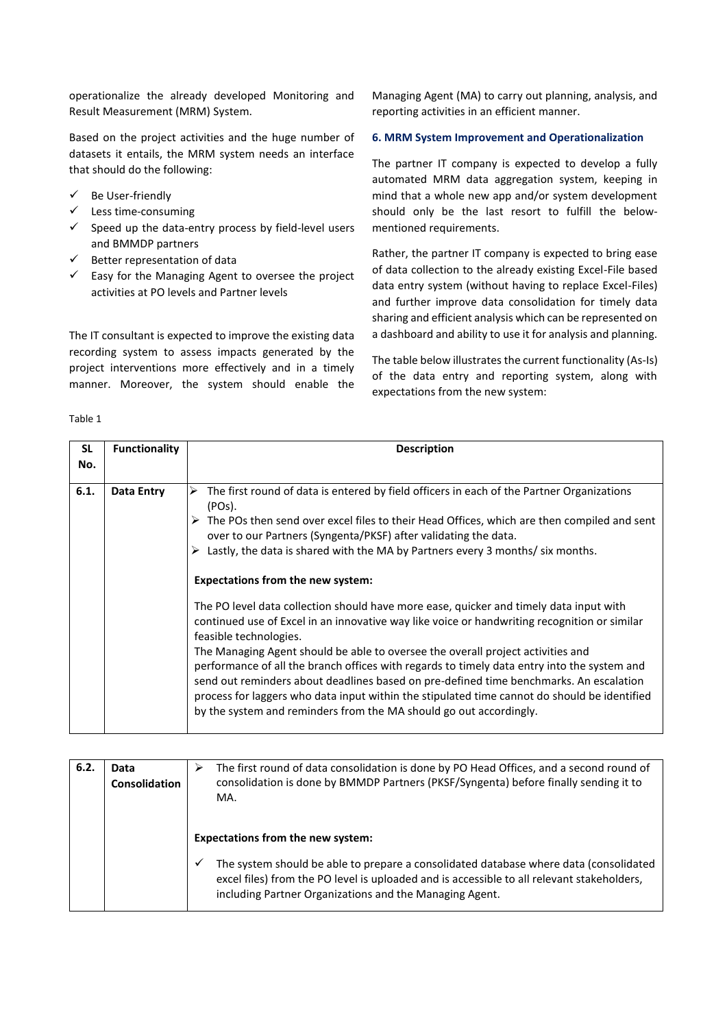operationalize the already developed Monitoring and Result Measurement (MRM) System.

Based on the project activities and the huge number of datasets it entails, the MRM system needs an interface that should do the following:

- ✓ Be User-friendly
- ✓ Less time-consuming
- $\checkmark$  Speed up the data-entry process by field-level users and BMMDP partners
- ✓ Better representation of data
- $\checkmark$  Easy for the Managing Agent to oversee the project activities at PO levels and Partner levels

The IT consultant is expected to improve the existing data recording system to assess impacts generated by the project interventions more effectively and in a timely manner. Moreover, the system should enable the

Managing Agent (MA) to carry out planning, analysis, and reporting activities in an efficient manner.

### **6. MRM System Improvement and Operationalization**

The partner IT company is expected to develop a fully automated MRM data aggregation system, keeping in mind that a whole new app and/or system development should only be the last resort to fulfill the belowmentioned requirements.

Rather, the partner IT company is expected to bring ease of data collection to the already existing Excel-File based data entry system (without having to replace Excel-Files) and further improve data consolidation for timely data sharing and efficient analysis which can be represented on a dashboard and ability to use it for analysis and planning.

The table below illustrates the current functionality (As-Is) of the data entry and reporting system, along with expectations from the new system:

# Table 1

| SL<br>No. | <b>Functionality</b> | <b>Description</b>                                                                                                                                                                                                                                                                                                                                                                                                                                                                                                                                                                                                                                                                                                                                                                                                                                                                                                                                                                                                                                                                                  |
|-----------|----------------------|-----------------------------------------------------------------------------------------------------------------------------------------------------------------------------------------------------------------------------------------------------------------------------------------------------------------------------------------------------------------------------------------------------------------------------------------------------------------------------------------------------------------------------------------------------------------------------------------------------------------------------------------------------------------------------------------------------------------------------------------------------------------------------------------------------------------------------------------------------------------------------------------------------------------------------------------------------------------------------------------------------------------------------------------------------------------------------------------------------|
| 6.1.      | <b>Data Entry</b>    | The first round of data is entered by field officers in each of the Partner Organizations<br>⋗<br>(POs).<br>$\triangleright$ The POs then send over excel files to their Head Offices, which are then compiled and sent<br>over to our Partners (Syngenta/PKSF) after validating the data.<br>Lastly, the data is shared with the MA by Partners every 3 months/ six months.<br>➤<br><b>Expectations from the new system:</b><br>The PO level data collection should have more ease, quicker and timely data input with<br>continued use of Excel in an innovative way like voice or handwriting recognition or similar<br>feasible technologies.<br>The Managing Agent should be able to oversee the overall project activities and<br>performance of all the branch offices with regards to timely data entry into the system and<br>send out reminders about deadlines based on pre-defined time benchmarks. An escalation<br>process for laggers who data input within the stipulated time cannot do should be identified<br>by the system and reminders from the MA should go out accordingly. |

| 6.2. | Data<br><b>Consolidation</b> | The first round of data consolidation is done by PO Head Offices, and a second round of<br>consolidation is done by BMMDP Partners (PKSF/Syngenta) before finally sending it to<br>MA.                                                                                                          |  |
|------|------------------------------|-------------------------------------------------------------------------------------------------------------------------------------------------------------------------------------------------------------------------------------------------------------------------------------------------|--|
|      |                              | <b>Expectations from the new system:</b><br>The system should be able to prepare a consolidated database where data (consolidated<br>✓<br>excel files) from the PO level is uploaded and is accessible to all relevant stakeholders,<br>including Partner Organizations and the Managing Agent. |  |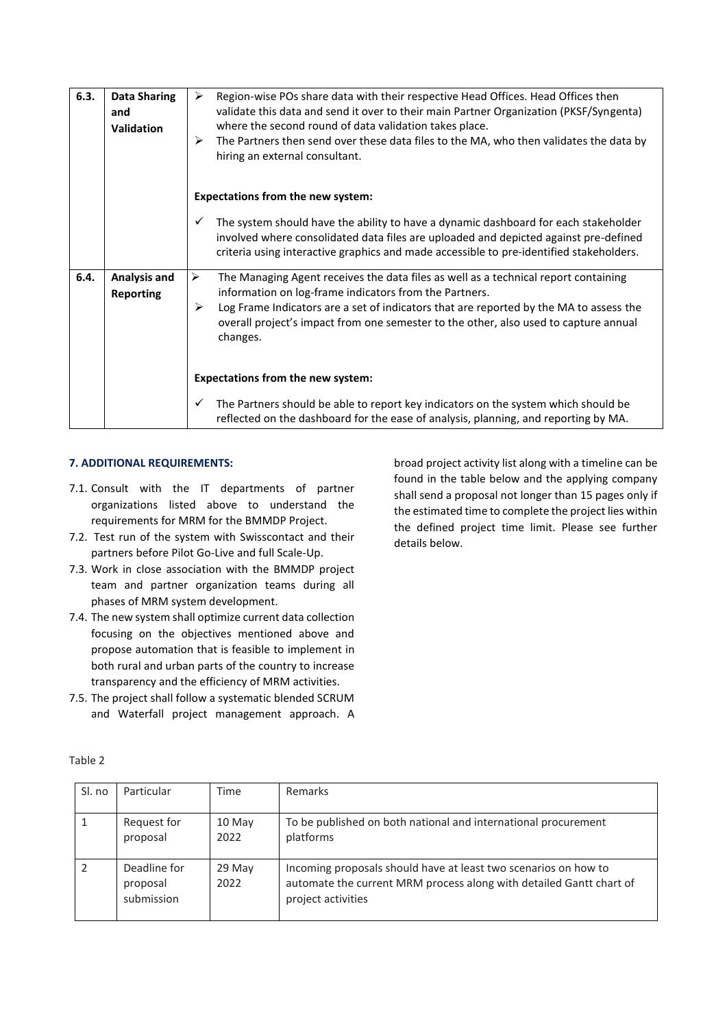| 6.3. | <b>Data Sharing</b><br>and<br><b>Validation</b> | ➤<br>Region-wise POs share data with their respective Head Offices. Head Offices then<br>validate this data and send it over to their main Partner Organization (PKSF/Syngenta)<br>where the second round of data validation takes place.<br>➤<br>The Partners then send over these data files to the MA, who then validates the data by<br>hiring an external consultant. |  |  |
|------|-------------------------------------------------|----------------------------------------------------------------------------------------------------------------------------------------------------------------------------------------------------------------------------------------------------------------------------------------------------------------------------------------------------------------------------|--|--|
|      |                                                 | <b>Expectations from the new system:</b>                                                                                                                                                                                                                                                                                                                                   |  |  |
|      |                                                 | The system should have the ability to have a dynamic dashboard for each stakeholder<br>✓<br>involved where consolidated data files are uploaded and depicted against pre-defined<br>criteria using interactive graphics and made accessible to pre-identified stakeholders.                                                                                                |  |  |
| 6.4. | Analysis and<br>Reporting                       | ➤<br>The Managing Agent receives the data files as well as a technical report containing<br>information on log-frame indicators from the Partners.<br>➤<br>Log Frame Indicators are a set of indicators that are reported by the MA to assess the<br>overall project's impact from one semester to the other, also used to capture annual<br>changes.                      |  |  |
|      |                                                 | <b>Expectations from the new system:</b>                                                                                                                                                                                                                                                                                                                                   |  |  |
|      |                                                 | The Partners should be able to report key indicators on the system which should be<br>✓<br>reflected on the dashboard for the ease of analysis, planning, and reporting by MA.                                                                                                                                                                                             |  |  |

# **7. ADDITIONAL REQUIREMENTS:**

- 7.1. Consult with the IT departments of partner organizations listed above to understand the requirements for MRM for the BMMDP Project.
- 7.2. Test run of the system with Swisscontact and their partners before Pilot Go-Live and full Scale-Up.
- 7.3. Work in close association with the BMMDP project team and partner organization teams during all phases of MRM system development.
- 7.4. The new system shall optimize current data collection focusing on the objectives mentioned above and propose automation that is feasible to implement in both rural and urban parts of the country to increase transparency and the efficiency of MRM activities.
- 7.5. The project shall follow a systematic blended SCRUM and Waterfall project management approach. A

broad project activity list along with a timeline can be found in the table below and the applying company shall send a proposal not longer than 15 pages only if the estimated time to complete the project lies within the defined project time limit. Please see further details below.

| Sl. no       | Particular                             | Time           | Remarks                                                                                                                                                      |
|--------------|----------------------------------------|----------------|--------------------------------------------------------------------------------------------------------------------------------------------------------------|
| $\mathbf{1}$ | Request for<br>proposal                | 10 May<br>2022 | To be published on both national and international procurement<br>platforms                                                                                  |
| 2            | Deadline for<br>proposal<br>submission | 29 May<br>2022 | Incoming proposals should have at least two scenarios on how to<br>automate the current MRM process along with detailed Gantt chart of<br>project activities |

Table 2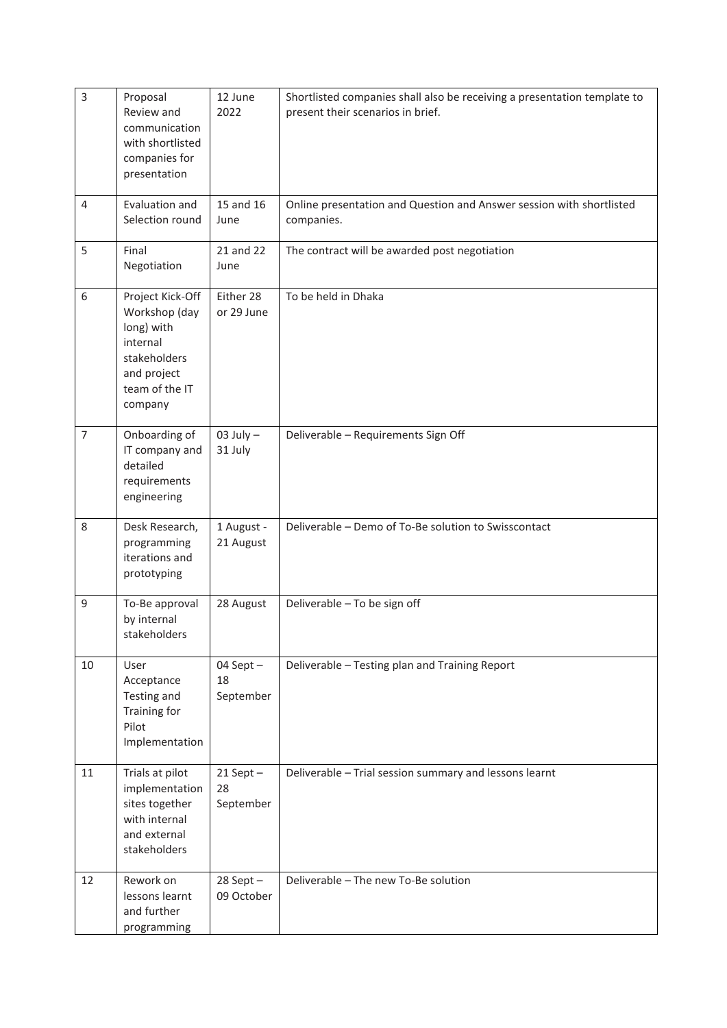| 3              | Proposal<br>Review and<br>communication<br>with shortlisted<br>companies for<br>presentation                            | 12 June<br>2022                  | Shortlisted companies shall also be receiving a presentation template to<br>present their scenarios in brief. |
|----------------|-------------------------------------------------------------------------------------------------------------------------|----------------------------------|---------------------------------------------------------------------------------------------------------------|
| $\overline{4}$ | Evaluation and<br>Selection round                                                                                       | 15 and 16<br>June                | Online presentation and Question and Answer session with shortlisted<br>companies.                            |
| 5              | Final<br>Negotiation                                                                                                    | 21 and 22<br>June                | The contract will be awarded post negotiation                                                                 |
| 6              | Project Kick-Off<br>Workshop (day<br>long) with<br>internal<br>stakeholders<br>and project<br>team of the IT<br>company | Either 28<br>or 29 June          | To be held in Dhaka                                                                                           |
| $\overline{7}$ | Onboarding of<br>IT company and<br>detailed<br>requirements<br>engineering                                              | $03$ July $-$<br>31 July         | Deliverable - Requirements Sign Off                                                                           |
| 8              | Desk Research,<br>programming<br>iterations and<br>prototyping                                                          | 1 August -<br>21 August          | Deliverable - Demo of To-Be solution to Swisscontact                                                          |
| $\mathsf g$    | To-Be approval<br>by internal<br>stakeholders                                                                           | 28 August                        | Deliverable - To be sign off                                                                                  |
| 10             | User<br>Acceptance<br>Testing and<br>Training for<br>Pilot<br>Implementation                                            | 04 Sept $-$<br>18<br>September   | Deliverable - Testing plan and Training Report                                                                |
| 11             | Trials at pilot<br>implementation<br>sites together<br>with internal<br>and external<br>stakeholders                    | $21$ Sept $-$<br>28<br>September | Deliverable - Trial session summary and lessons learnt                                                        |
| 12             | Rework on<br>lessons learnt<br>and further<br>programming                                                               | $28$ Sept $-$<br>09 October      | Deliverable - The new To-Be solution                                                                          |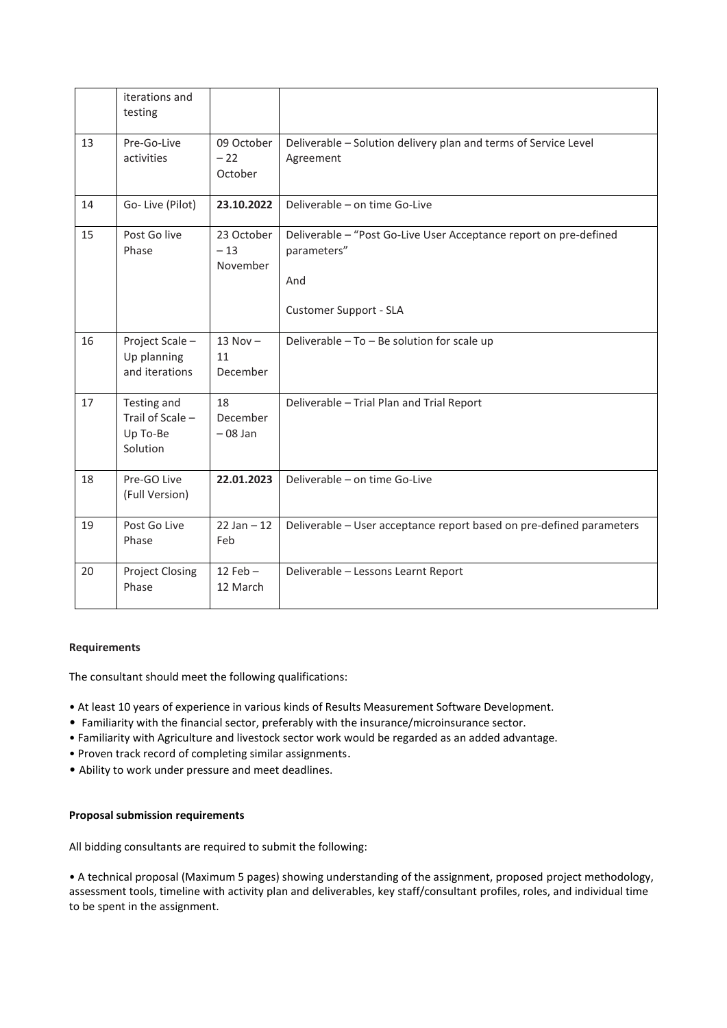|    | iterations and<br>testing                               |                                 |                                                                                                                   |
|----|---------------------------------------------------------|---------------------------------|-------------------------------------------------------------------------------------------------------------------|
| 13 | Pre-Go-Live<br>activities                               | 09 October<br>$-22$<br>October  | Deliverable - Solution delivery plan and terms of Service Level<br>Agreement                                      |
| 14 | Go-Live (Pilot)                                         | 23.10.2022                      | Deliverable - on time Go-Live                                                                                     |
| 15 | Post Go live<br>Phase                                   | 23 October<br>$-13$<br>November | Deliverable - "Post Go-Live User Acceptance report on pre-defined<br>parameters"<br>And<br>Customer Support - SLA |
| 16 | Project Scale -<br>Up planning<br>and iterations        | $13$ Nov $-$<br>11<br>December  | Deliverable - To - Be solution for scale up                                                                       |
| 17 | Testing and<br>Trail of Scale -<br>Up To-Be<br>Solution | 18<br>December<br>$-08$ Jan     | Deliverable - Trial Plan and Trial Report                                                                         |
| 18 | Pre-GO Live<br>(Full Version)                           | 22.01.2023                      | Deliverable - on time Go-Live                                                                                     |
| 19 | Post Go Live<br>Phase                                   | $22$ Jan $-12$<br>Feb           | Deliverable - User acceptance report based on pre-defined parameters                                              |
| 20 | <b>Project Closing</b><br>Phase                         | $12$ Feb $-$<br>12 March        | Deliverable - Lessons Learnt Report                                                                               |

# **Requirements**

The consultant should meet the following qualifications:

- At least 10 years of experience in various kinds of Results Measurement Software Development.
- Familiarity with the financial sector, preferably with the insurance/microinsurance sector.
- Familiarity with Agriculture and livestock sector work would be regarded as an added advantage.
- Proven track record of completing similar assignments.
- Ability to work under pressure and meet deadlines.

# **Proposal submission requirements**

All bidding consultants are required to submit the following:

• A technical proposal (Maximum 5 pages) showing understanding of the assignment, proposed project methodology, assessment tools, timeline with activity plan and deliverables, key staff/consultant profiles, roles, and individual time to be spent in the assignment.